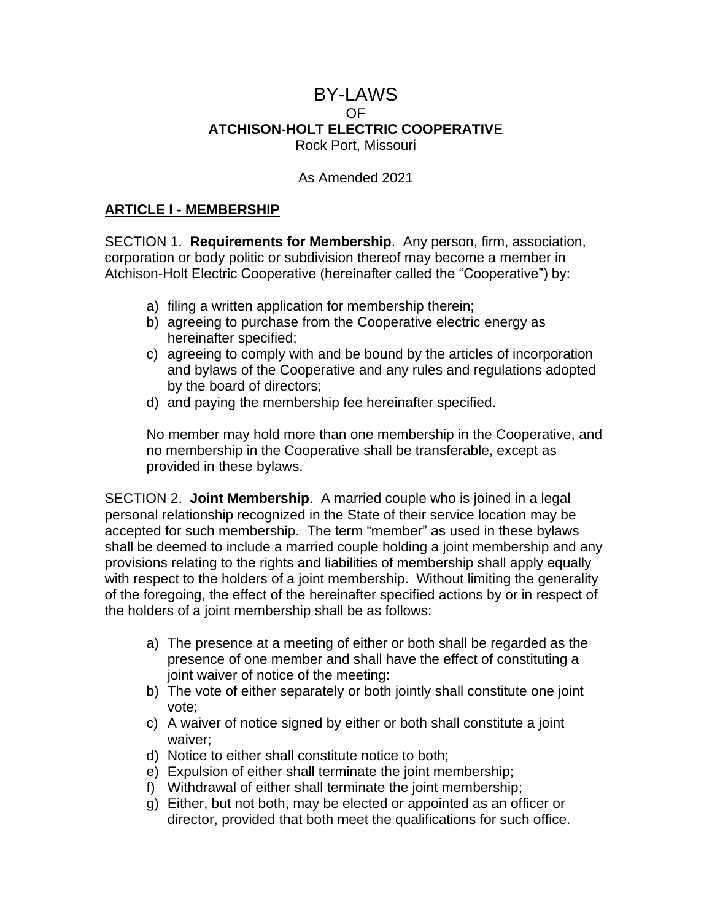## BY-LAWS OF **ATCHISON-HOLT ELECTRIC COOPERATIV**E Rock Port, Missouri

#### As Amended 2021

#### **ARTICLE I - MEMBERSHIP**

SECTION 1. **Requirements for Membership**. Any person, firm, association, corporation or body politic or subdivision thereof may become a member in Atchison-Holt Electric Cooperative (hereinafter called the "Cooperative") by:

- a) filing a written application for membership therein;
- b) agreeing to purchase from the Cooperative electric energy as hereinafter specified;
- c) agreeing to comply with and be bound by the articles of incorporation and bylaws of the Cooperative and any rules and regulations adopted by the board of directors;
- d) and paying the membership fee hereinafter specified.

No member may hold more than one membership in the Cooperative, and no membership in the Cooperative shall be transferable, except as provided in these bylaws.

SECTION 2. **Joint Membership**. A married couple who is joined in a legal personal relationship recognized in the State of their service location may be accepted for such membership. The term "member" as used in these bylaws shall be deemed to include a married couple holding a joint membership and any provisions relating to the rights and liabilities of membership shall apply equally with respect to the holders of a joint membership. Without limiting the generality of the foregoing, the effect of the hereinafter specified actions by or in respect of the holders of a joint membership shall be as follows:

- a) The presence at a meeting of either or both shall be regarded as the presence of one member and shall have the effect of constituting a joint waiver of notice of the meeting:
- b) The vote of either separately or both jointly shall constitute one joint vote;
- c) A waiver of notice signed by either or both shall constitute a joint waiver;
- d) Notice to either shall constitute notice to both;
- e) Expulsion of either shall terminate the joint membership;
- f) Withdrawal of either shall terminate the joint membership;
- g) Either, but not both, may be elected or appointed as an officer or director, provided that both meet the qualifications for such office.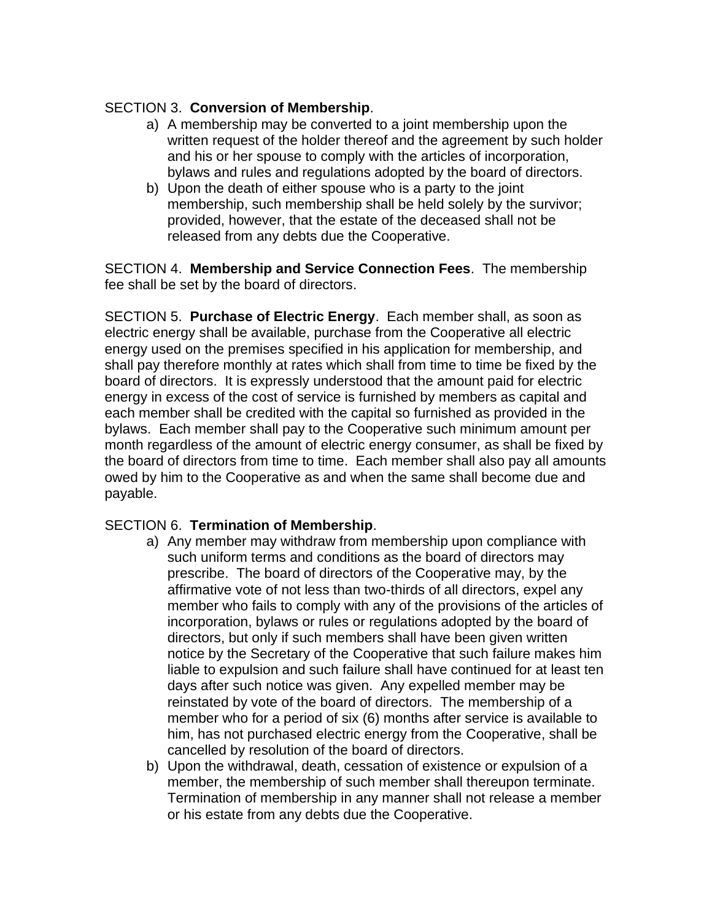#### SECTION 3. **Conversion of Membership**.

- a) A membership may be converted to a joint membership upon the written request of the holder thereof and the agreement by such holder and his or her spouse to comply with the articles of incorporation, bylaws and rules and regulations adopted by the board of directors.
- b) Upon the death of either spouse who is a party to the joint membership, such membership shall be held solely by the survivor; provided, however, that the estate of the deceased shall not be released from any debts due the Cooperative.

SECTION 4. **Membership and Service Connection Fees**. The membership fee shall be set by the board of directors.

SECTION 5. **Purchase of Electric Energy**. Each member shall, as soon as electric energy shall be available, purchase from the Cooperative all electric energy used on the premises specified in his application for membership, and shall pay therefore monthly at rates which shall from time to time be fixed by the board of directors. It is expressly understood that the amount paid for electric energy in excess of the cost of service is furnished by members as capital and each member shall be credited with the capital so furnished as provided in the bylaws. Each member shall pay to the Cooperative such minimum amount per month regardless of the amount of electric energy consumer, as shall be fixed by the board of directors from time to time. Each member shall also pay all amounts owed by him to the Cooperative as and when the same shall become due and payable.

# SECTION 6. **Termination of Membership**.

- a) Any member may withdraw from membership upon compliance with such uniform terms and conditions as the board of directors may prescribe. The board of directors of the Cooperative may, by the affirmative vote of not less than two-thirds of all directors, expel any member who fails to comply with any of the provisions of the articles of incorporation, bylaws or rules or regulations adopted by the board of directors, but only if such members shall have been given written notice by the Secretary of the Cooperative that such failure makes him liable to expulsion and such failure shall have continued for at least ten days after such notice was given. Any expelled member may be reinstated by vote of the board of directors. The membership of a member who for a period of six (6) months after service is available to him, has not purchased electric energy from the Cooperative, shall be cancelled by resolution of the board of directors.
- b) Upon the withdrawal, death, cessation of existence or expulsion of a member, the membership of such member shall thereupon terminate. Termination of membership in any manner shall not release a member or his estate from any debts due the Cooperative.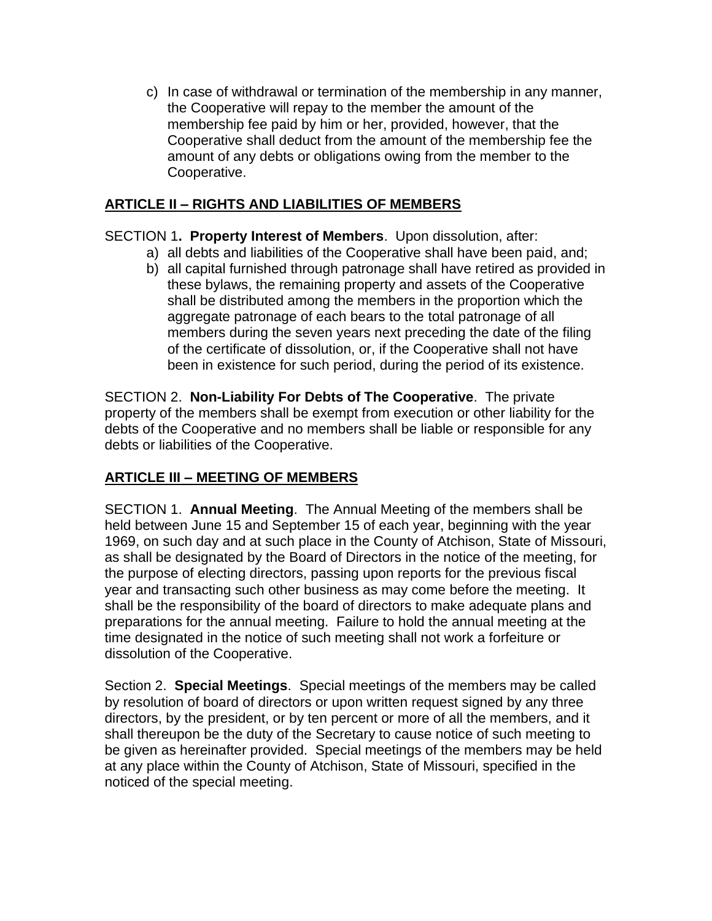c) In case of withdrawal or termination of the membership in any manner, the Cooperative will repay to the member the amount of the membership fee paid by him or her, provided, however, that the Cooperative shall deduct from the amount of the membership fee the amount of any debts or obligations owing from the member to the Cooperative.

# **ARTICLE II – RIGHTS AND LIABILITIES OF MEMBERS**

# SECTION 1**. Property Interest of Members**. Upon dissolution, after:

- a) all debts and liabilities of the Cooperative shall have been paid, and;
- b) all capital furnished through patronage shall have retired as provided in these bylaws, the remaining property and assets of the Cooperative shall be distributed among the members in the proportion which the aggregate patronage of each bears to the total patronage of all members during the seven years next preceding the date of the filing of the certificate of dissolution, or, if the Cooperative shall not have been in existence for such period, during the period of its existence.

SECTION 2. **Non-Liability For Debts of The Cooperative**. The private property of the members shall be exempt from execution or other liability for the debts of the Cooperative and no members shall be liable or responsible for any debts or liabilities of the Cooperative.

# **ARTICLE III – MEETING OF MEMBERS**

SECTION 1. **Annual Meeting**. The Annual Meeting of the members shall be held between June 15 and September 15 of each year, beginning with the year 1969, on such day and at such place in the County of Atchison, State of Missouri, as shall be designated by the Board of Directors in the notice of the meeting, for the purpose of electing directors, passing upon reports for the previous fiscal year and transacting such other business as may come before the meeting. It shall be the responsibility of the board of directors to make adequate plans and preparations for the annual meeting. Failure to hold the annual meeting at the time designated in the notice of such meeting shall not work a forfeiture or dissolution of the Cooperative.

Section 2. **Special Meetings**. Special meetings of the members may be called by resolution of board of directors or upon written request signed by any three directors, by the president, or by ten percent or more of all the members, and it shall thereupon be the duty of the Secretary to cause notice of such meeting to be given as hereinafter provided. Special meetings of the members may be held at any place within the County of Atchison, State of Missouri, specified in the noticed of the special meeting.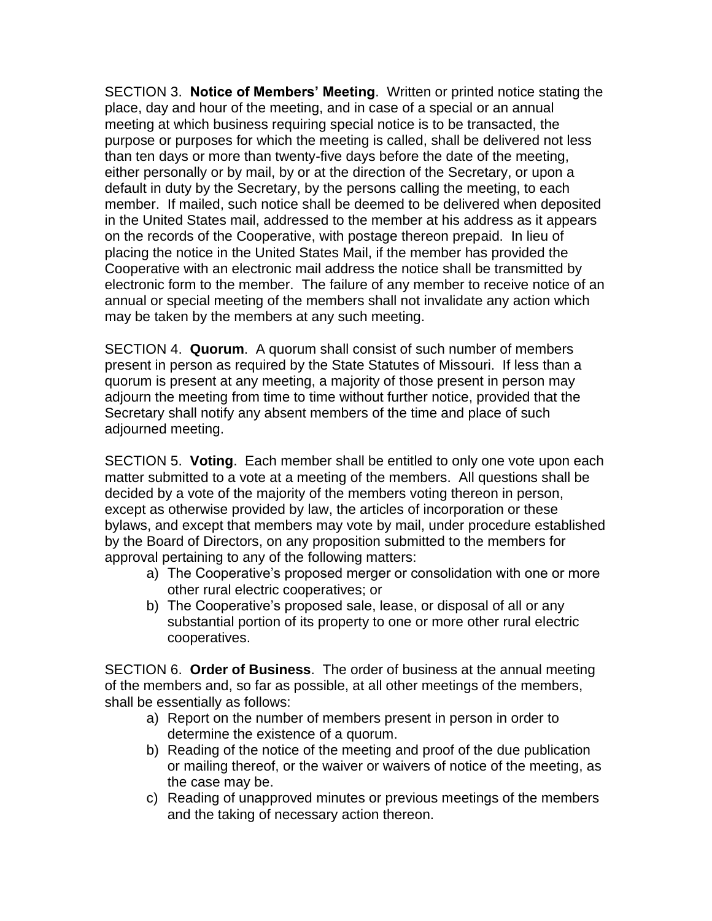SECTION 3. **Notice of Members' Meeting**. Written or printed notice stating the place, day and hour of the meeting, and in case of a special or an annual meeting at which business requiring special notice is to be transacted, the purpose or purposes for which the meeting is called, shall be delivered not less than ten days or more than twenty-five days before the date of the meeting, either personally or by mail, by or at the direction of the Secretary, or upon a default in duty by the Secretary, by the persons calling the meeting, to each member. If mailed, such notice shall be deemed to be delivered when deposited in the United States mail, addressed to the member at his address as it appears on the records of the Cooperative, with postage thereon prepaid. In lieu of placing the notice in the United States Mail, if the member has provided the Cooperative with an electronic mail address the notice shall be transmitted by electronic form to the member. The failure of any member to receive notice of an annual or special meeting of the members shall not invalidate any action which may be taken by the members at any such meeting.

SECTION 4. **Quorum**. A quorum shall consist of such number of members present in person as required by the State Statutes of Missouri. If less than a quorum is present at any meeting, a majority of those present in person may adjourn the meeting from time to time without further notice, provided that the Secretary shall notify any absent members of the time and place of such adjourned meeting.

SECTION 5. **Voting**. Each member shall be entitled to only one vote upon each matter submitted to a vote at a meeting of the members. All questions shall be decided by a vote of the majority of the members voting thereon in person, except as otherwise provided by law, the articles of incorporation or these bylaws, and except that members may vote by mail, under procedure established by the Board of Directors, on any proposition submitted to the members for approval pertaining to any of the following matters:

- a) The Cooperative's proposed merger or consolidation with one or more other rural electric cooperatives; or
- b) The Cooperative's proposed sale, lease, or disposal of all or any substantial portion of its property to one or more other rural electric cooperatives.

SECTION 6. **Order of Business**. The order of business at the annual meeting of the members and, so far as possible, at all other meetings of the members, shall be essentially as follows:

- a) Report on the number of members present in person in order to determine the existence of a quorum.
- b) Reading of the notice of the meeting and proof of the due publication or mailing thereof, or the waiver or waivers of notice of the meeting, as the case may be.
- c) Reading of unapproved minutes or previous meetings of the members and the taking of necessary action thereon.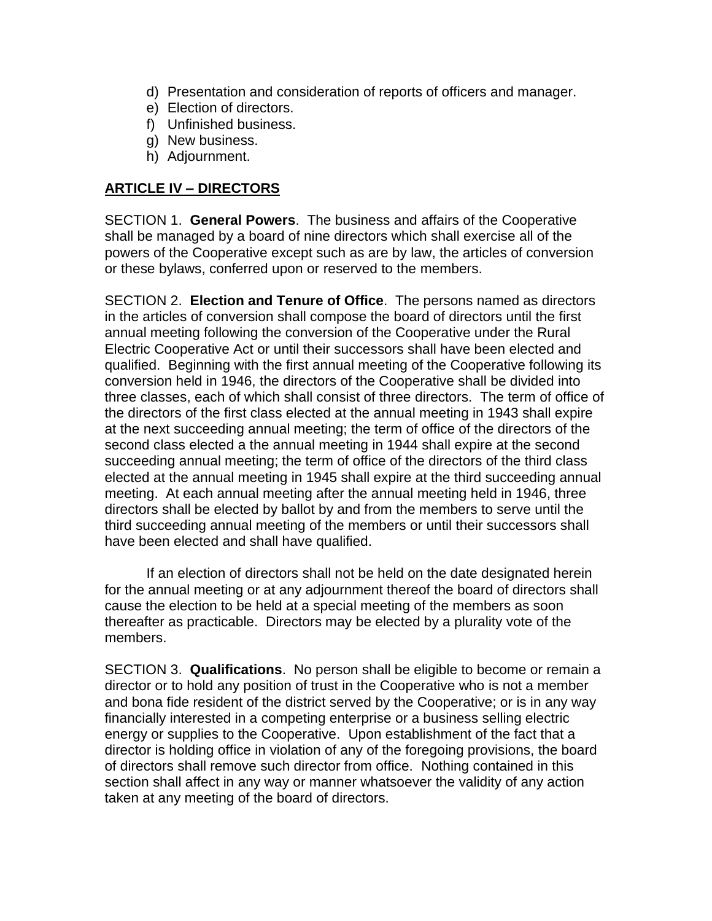- d) Presentation and consideration of reports of officers and manager.
- e) Election of directors.
- f) Unfinished business.
- g) New business.
- h) Adjournment.

## **ARTICLE IV – DIRECTORS**

SECTION 1. **General Powers**. The business and affairs of the Cooperative shall be managed by a board of nine directors which shall exercise all of the powers of the Cooperative except such as are by law, the articles of conversion or these bylaws, conferred upon or reserved to the members.

SECTION 2. **Election and Tenure of Office**. The persons named as directors in the articles of conversion shall compose the board of directors until the first annual meeting following the conversion of the Cooperative under the Rural Electric Cooperative Act or until their successors shall have been elected and qualified. Beginning with the first annual meeting of the Cooperative following its conversion held in 1946, the directors of the Cooperative shall be divided into three classes, each of which shall consist of three directors. The term of office of the directors of the first class elected at the annual meeting in 1943 shall expire at the next succeeding annual meeting; the term of office of the directors of the second class elected a the annual meeting in 1944 shall expire at the second succeeding annual meeting; the term of office of the directors of the third class elected at the annual meeting in 1945 shall expire at the third succeeding annual meeting. At each annual meeting after the annual meeting held in 1946, three directors shall be elected by ballot by and from the members to serve until the third succeeding annual meeting of the members or until their successors shall have been elected and shall have qualified.

If an election of directors shall not be held on the date designated herein for the annual meeting or at any adjournment thereof the board of directors shall cause the election to be held at a special meeting of the members as soon thereafter as practicable. Directors may be elected by a plurality vote of the members.

SECTION 3. **Qualifications**. No person shall be eligible to become or remain a director or to hold any position of trust in the Cooperative who is not a member and bona fide resident of the district served by the Cooperative; or is in any way financially interested in a competing enterprise or a business selling electric energy or supplies to the Cooperative. Upon establishment of the fact that a director is holding office in violation of any of the foregoing provisions, the board of directors shall remove such director from office. Nothing contained in this section shall affect in any way or manner whatsoever the validity of any action taken at any meeting of the board of directors.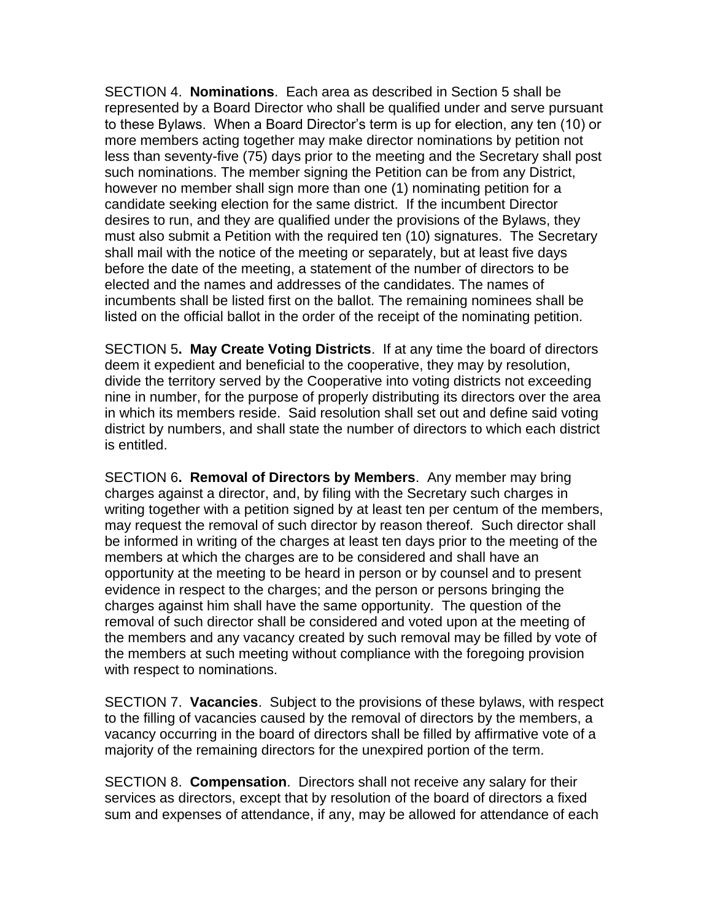SECTION 4. **Nominations**. Each area as described in Section 5 shall be represented by a Board Director who shall be qualified under and serve pursuant to these Bylaws. When a Board Director's term is up for election, any ten (10) or more members acting together may make director nominations by petition not less than seventy-five (75) days prior to the meeting and the Secretary shall post such nominations. The member signing the Petition can be from any District, however no member shall sign more than one (1) nominating petition for a candidate seeking election for the same district. If the incumbent Director desires to run, and they are qualified under the provisions of the Bylaws, they must also submit a Petition with the required ten (10) signatures. The Secretary shall mail with the notice of the meeting or separately, but at least five days before the date of the meeting, a statement of the number of directors to be elected and the names and addresses of the candidates. The names of incumbents shall be listed first on the ballot. The remaining nominees shall be listed on the official ballot in the order of the receipt of the nominating petition.

SECTION 5**. May Create Voting Districts**. If at any time the board of directors deem it expedient and beneficial to the cooperative, they may by resolution, divide the territory served by the Cooperative into voting districts not exceeding nine in number, for the purpose of properly distributing its directors over the area in which its members reside. Said resolution shall set out and define said voting district by numbers, and shall state the number of directors to which each district is entitled.

SECTION 6**. Removal of Directors by Members**. Any member may bring charges against a director, and, by filing with the Secretary such charges in writing together with a petition signed by at least ten per centum of the members, may request the removal of such director by reason thereof. Such director shall be informed in writing of the charges at least ten days prior to the meeting of the members at which the charges are to be considered and shall have an opportunity at the meeting to be heard in person or by counsel and to present evidence in respect to the charges; and the person or persons bringing the charges against him shall have the same opportunity. The question of the removal of such director shall be considered and voted upon at the meeting of the members and any vacancy created by such removal may be filled by vote of the members at such meeting without compliance with the foregoing provision with respect to nominations.

SECTION 7. **Vacancies**. Subject to the provisions of these bylaws, with respect to the filling of vacancies caused by the removal of directors by the members, a vacancy occurring in the board of directors shall be filled by affirmative vote of a majority of the remaining directors for the unexpired portion of the term.

SECTION 8. **Compensation**. Directors shall not receive any salary for their services as directors, except that by resolution of the board of directors a fixed sum and expenses of attendance, if any, may be allowed for attendance of each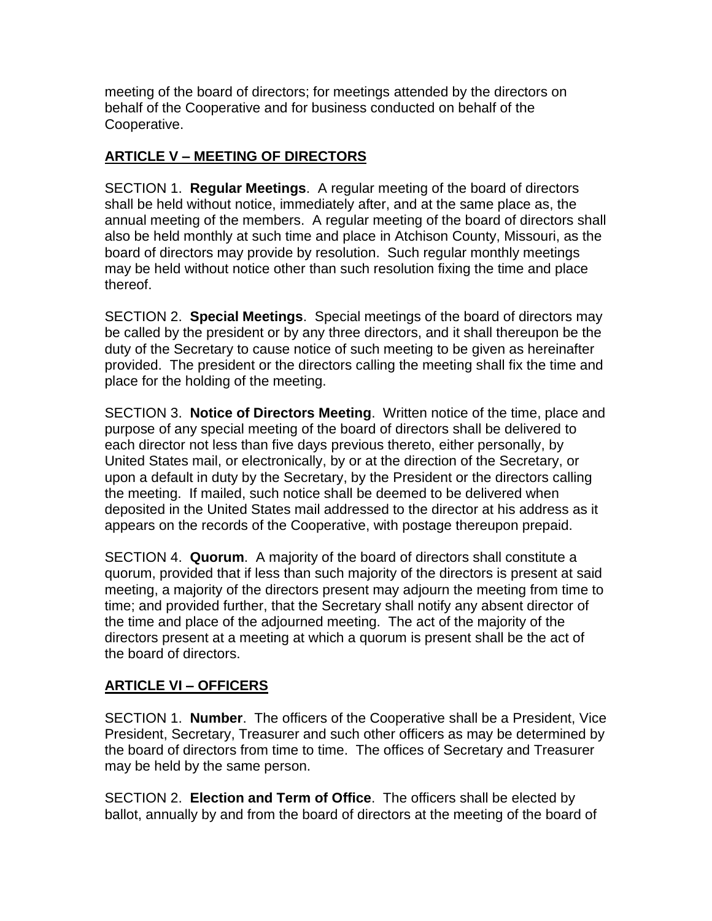meeting of the board of directors; for meetings attended by the directors on behalf of the Cooperative and for business conducted on behalf of the Cooperative.

# **ARTICLE V – MEETING OF DIRECTORS**

SECTION 1. **Regular Meetings**. A regular meeting of the board of directors shall be held without notice, immediately after, and at the same place as, the annual meeting of the members. A regular meeting of the board of directors shall also be held monthly at such time and place in Atchison County, Missouri, as the board of directors may provide by resolution. Such regular monthly meetings may be held without notice other than such resolution fixing the time and place thereof.

SECTION 2. **Special Meetings**. Special meetings of the board of directors may be called by the president or by any three directors, and it shall thereupon be the duty of the Secretary to cause notice of such meeting to be given as hereinafter provided. The president or the directors calling the meeting shall fix the time and place for the holding of the meeting.

SECTION 3. **Notice of Directors Meeting**. Written notice of the time, place and purpose of any special meeting of the board of directors shall be delivered to each director not less than five days previous thereto, either personally, by United States mail, or electronically, by or at the direction of the Secretary, or upon a default in duty by the Secretary, by the President or the directors calling the meeting. If mailed, such notice shall be deemed to be delivered when deposited in the United States mail addressed to the director at his address as it appears on the records of the Cooperative, with postage thereupon prepaid.

SECTION 4. **Quorum**. A majority of the board of directors shall constitute a quorum, provided that if less than such majority of the directors is present at said meeting, a majority of the directors present may adjourn the meeting from time to time; and provided further, that the Secretary shall notify any absent director of the time and place of the adjourned meeting. The act of the majority of the directors present at a meeting at which a quorum is present shall be the act of the board of directors.

# **ARTICLE VI – OFFICERS**

SECTION 1. **Number**. The officers of the Cooperative shall be a President, Vice President, Secretary, Treasurer and such other officers as may be determined by the board of directors from time to time. The offices of Secretary and Treasurer may be held by the same person.

SECTION 2. **Election and Term of Office**. The officers shall be elected by ballot, annually by and from the board of directors at the meeting of the board of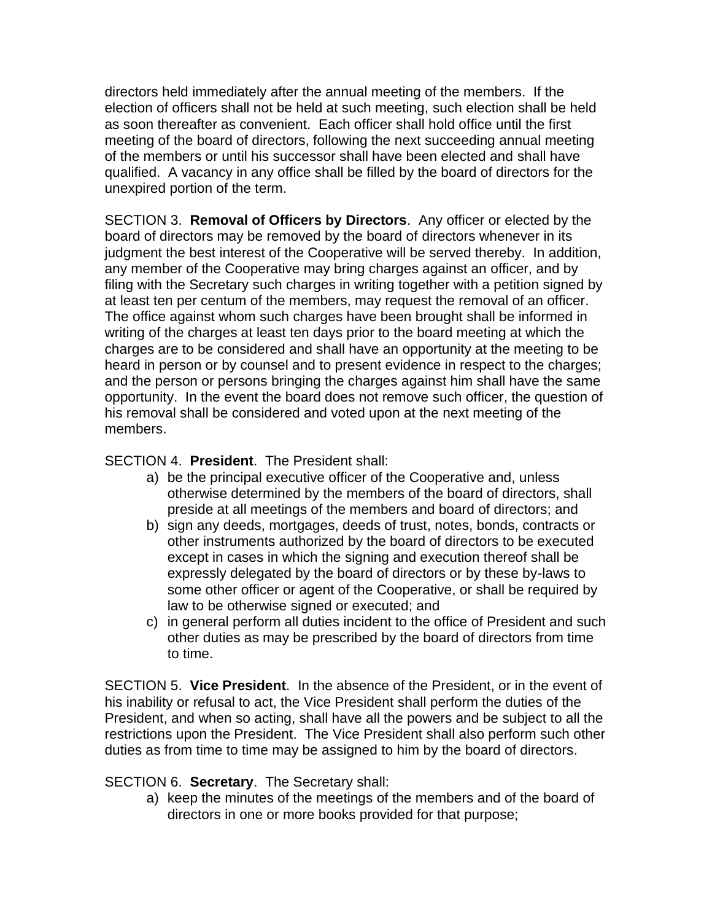directors held immediately after the annual meeting of the members. If the election of officers shall not be held at such meeting, such election shall be held as soon thereafter as convenient. Each officer shall hold office until the first meeting of the board of directors, following the next succeeding annual meeting of the members or until his successor shall have been elected and shall have qualified. A vacancy in any office shall be filled by the board of directors for the unexpired portion of the term.

SECTION 3. **Removal of Officers by Directors**. Any officer or elected by the board of directors may be removed by the board of directors whenever in its judgment the best interest of the Cooperative will be served thereby. In addition, any member of the Cooperative may bring charges against an officer, and by filing with the Secretary such charges in writing together with a petition signed by at least ten per centum of the members, may request the removal of an officer. The office against whom such charges have been brought shall be informed in writing of the charges at least ten days prior to the board meeting at which the charges are to be considered and shall have an opportunity at the meeting to be heard in person or by counsel and to present evidence in respect to the charges; and the person or persons bringing the charges against him shall have the same opportunity. In the event the board does not remove such officer, the question of his removal shall be considered and voted upon at the next meeting of the members.

SECTION 4. **President**. The President shall:

- a) be the principal executive officer of the Cooperative and, unless otherwise determined by the members of the board of directors, shall preside at all meetings of the members and board of directors; and
- b) sign any deeds, mortgages, deeds of trust, notes, bonds, contracts or other instruments authorized by the board of directors to be executed except in cases in which the signing and execution thereof shall be expressly delegated by the board of directors or by these by-laws to some other officer or agent of the Cooperative, or shall be required by law to be otherwise signed or executed; and
- c) in general perform all duties incident to the office of President and such other duties as may be prescribed by the board of directors from time to time.

SECTION 5. **Vice President**. In the absence of the President, or in the event of his inability or refusal to act, the Vice President shall perform the duties of the President, and when so acting, shall have all the powers and be subject to all the restrictions upon the President. The Vice President shall also perform such other duties as from time to time may be assigned to him by the board of directors.

SECTION 6. **Secretary**. The Secretary shall:

a) keep the minutes of the meetings of the members and of the board of directors in one or more books provided for that purpose;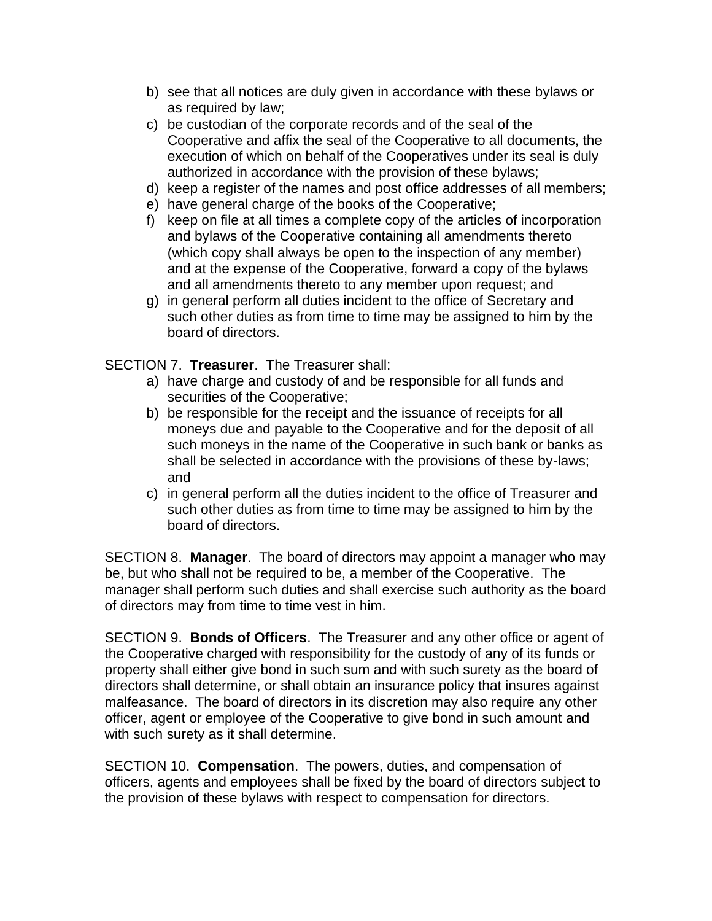- b) see that all notices are duly given in accordance with these bylaws or as required by law;
- c) be custodian of the corporate records and of the seal of the Cooperative and affix the seal of the Cooperative to all documents, the execution of which on behalf of the Cooperatives under its seal is duly authorized in accordance with the provision of these bylaws;
- d) keep a register of the names and post office addresses of all members;
- e) have general charge of the books of the Cooperative;
- f) keep on file at all times a complete copy of the articles of incorporation and bylaws of the Cooperative containing all amendments thereto (which copy shall always be open to the inspection of any member) and at the expense of the Cooperative, forward a copy of the bylaws and all amendments thereto to any member upon request; and
- g) in general perform all duties incident to the office of Secretary and such other duties as from time to time may be assigned to him by the board of directors.

SECTION 7. **Treasurer**. The Treasurer shall:

- a) have charge and custody of and be responsible for all funds and securities of the Cooperative;
- b) be responsible for the receipt and the issuance of receipts for all moneys due and payable to the Cooperative and for the deposit of all such moneys in the name of the Cooperative in such bank or banks as shall be selected in accordance with the provisions of these by-laws; and
- c) in general perform all the duties incident to the office of Treasurer and such other duties as from time to time may be assigned to him by the board of directors.

SECTION 8. **Manager**. The board of directors may appoint a manager who may be, but who shall not be required to be, a member of the Cooperative. The manager shall perform such duties and shall exercise such authority as the board of directors may from time to time vest in him.

SECTION 9. **Bonds of Officers**. The Treasurer and any other office or agent of the Cooperative charged with responsibility for the custody of any of its funds or property shall either give bond in such sum and with such surety as the board of directors shall determine, or shall obtain an insurance policy that insures against malfeasance. The board of directors in its discretion may also require any other officer, agent or employee of the Cooperative to give bond in such amount and with such surety as it shall determine.

SECTION 10. **Compensation**. The powers, duties, and compensation of officers, agents and employees shall be fixed by the board of directors subject to the provision of these bylaws with respect to compensation for directors.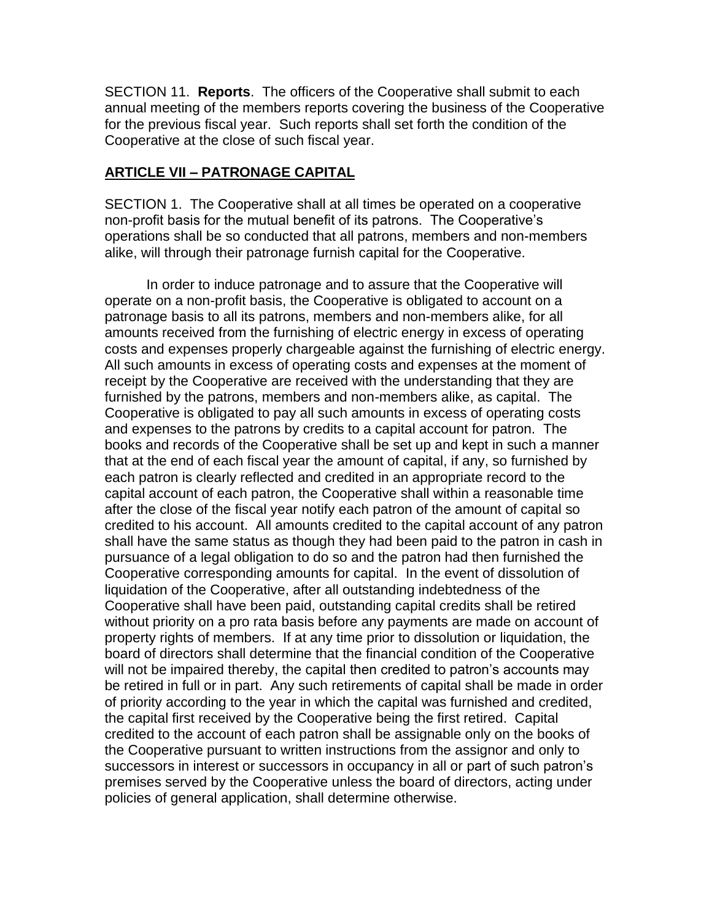SECTION 11. **Reports**. The officers of the Cooperative shall submit to each annual meeting of the members reports covering the business of the Cooperative for the previous fiscal year. Such reports shall set forth the condition of the Cooperative at the close of such fiscal year.

#### **ARTICLE VII – PATRONAGE CAPITAL**

SECTION 1. The Cooperative shall at all times be operated on a cooperative non-profit basis for the mutual benefit of its patrons. The Cooperative's operations shall be so conducted that all patrons, members and non-members alike, will through their patronage furnish capital for the Cooperative.

In order to induce patronage and to assure that the Cooperative will operate on a non-profit basis, the Cooperative is obligated to account on a patronage basis to all its patrons, members and non-members alike, for all amounts received from the furnishing of electric energy in excess of operating costs and expenses properly chargeable against the furnishing of electric energy. All such amounts in excess of operating costs and expenses at the moment of receipt by the Cooperative are received with the understanding that they are furnished by the patrons, members and non-members alike, as capital. The Cooperative is obligated to pay all such amounts in excess of operating costs and expenses to the patrons by credits to a capital account for patron. The books and records of the Cooperative shall be set up and kept in such a manner that at the end of each fiscal year the amount of capital, if any, so furnished by each patron is clearly reflected and credited in an appropriate record to the capital account of each patron, the Cooperative shall within a reasonable time after the close of the fiscal year notify each patron of the amount of capital so credited to his account. All amounts credited to the capital account of any patron shall have the same status as though they had been paid to the patron in cash in pursuance of a legal obligation to do so and the patron had then furnished the Cooperative corresponding amounts for capital. In the event of dissolution of liquidation of the Cooperative, after all outstanding indebtedness of the Cooperative shall have been paid, outstanding capital credits shall be retired without priority on a pro rata basis before any payments are made on account of property rights of members. If at any time prior to dissolution or liquidation, the board of directors shall determine that the financial condition of the Cooperative will not be impaired thereby, the capital then credited to patron's accounts may be retired in full or in part. Any such retirements of capital shall be made in order of priority according to the year in which the capital was furnished and credited, the capital first received by the Cooperative being the first retired. Capital credited to the account of each patron shall be assignable only on the books of the Cooperative pursuant to written instructions from the assignor and only to successors in interest or successors in occupancy in all or part of such patron's premises served by the Cooperative unless the board of directors, acting under policies of general application, shall determine otherwise.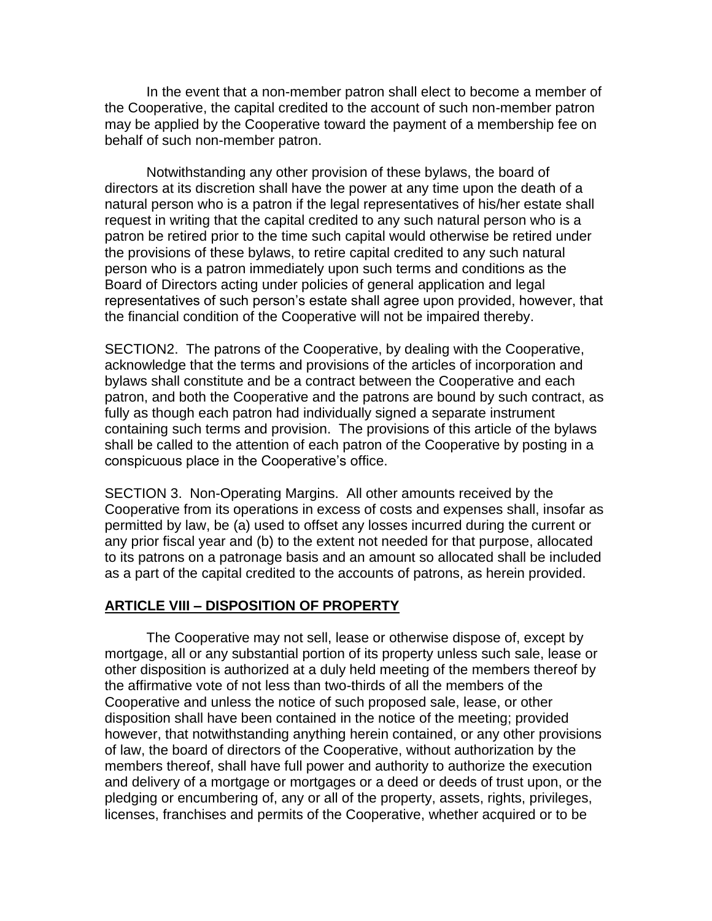In the event that a non-member patron shall elect to become a member of the Cooperative, the capital credited to the account of such non-member patron may be applied by the Cooperative toward the payment of a membership fee on behalf of such non-member patron.

Notwithstanding any other provision of these bylaws, the board of directors at its discretion shall have the power at any time upon the death of a natural person who is a patron if the legal representatives of his/her estate shall request in writing that the capital credited to any such natural person who is a patron be retired prior to the time such capital would otherwise be retired under the provisions of these bylaws, to retire capital credited to any such natural person who is a patron immediately upon such terms and conditions as the Board of Directors acting under policies of general application and legal representatives of such person's estate shall agree upon provided, however, that the financial condition of the Cooperative will not be impaired thereby.

SECTION2. The patrons of the Cooperative, by dealing with the Cooperative, acknowledge that the terms and provisions of the articles of incorporation and bylaws shall constitute and be a contract between the Cooperative and each patron, and both the Cooperative and the patrons are bound by such contract, as fully as though each patron had individually signed a separate instrument containing such terms and provision. The provisions of this article of the bylaws shall be called to the attention of each patron of the Cooperative by posting in a conspicuous place in the Cooperative's office.

SECTION 3. Non-Operating Margins. All other amounts received by the Cooperative from its operations in excess of costs and expenses shall, insofar as permitted by law, be (a) used to offset any losses incurred during the current or any prior fiscal year and (b) to the extent not needed for that purpose, allocated to its patrons on a patronage basis and an amount so allocated shall be included as a part of the capital credited to the accounts of patrons, as herein provided.

#### **ARTICLE VIII – DISPOSITION OF PROPERTY**

The Cooperative may not sell, lease or otherwise dispose of, except by mortgage, all or any substantial portion of its property unless such sale, lease or other disposition is authorized at a duly held meeting of the members thereof by the affirmative vote of not less than two-thirds of all the members of the Cooperative and unless the notice of such proposed sale, lease, or other disposition shall have been contained in the notice of the meeting; provided however, that notwithstanding anything herein contained, or any other provisions of law, the board of directors of the Cooperative, without authorization by the members thereof, shall have full power and authority to authorize the execution and delivery of a mortgage or mortgages or a deed or deeds of trust upon, or the pledging or encumbering of, any or all of the property, assets, rights, privileges, licenses, franchises and permits of the Cooperative, whether acquired or to be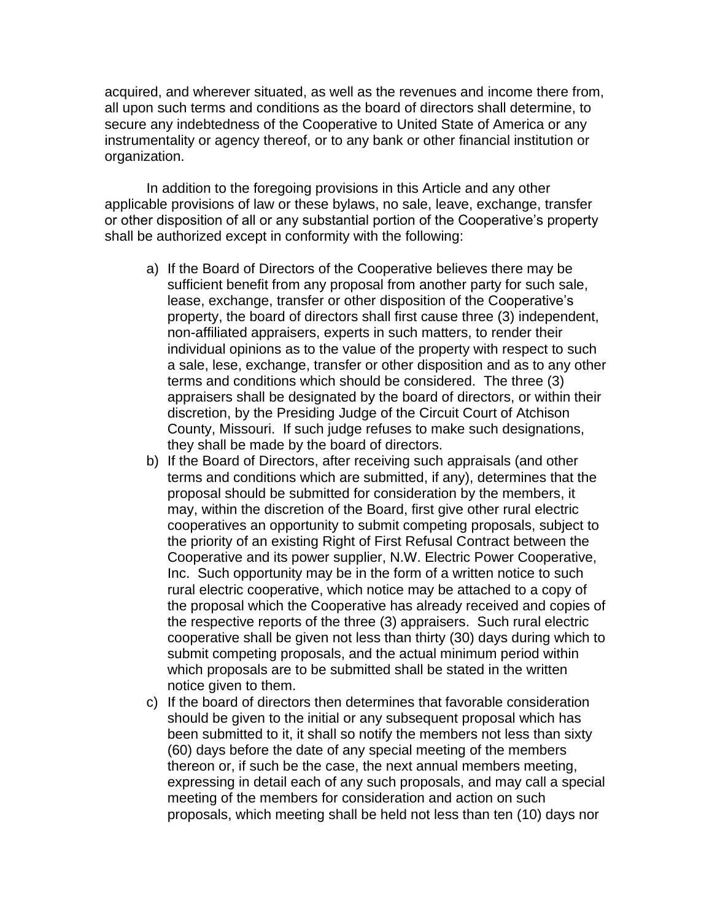acquired, and wherever situated, as well as the revenues and income there from, all upon such terms and conditions as the board of directors shall determine, to secure any indebtedness of the Cooperative to United State of America or any instrumentality or agency thereof, or to any bank or other financial institution or organization.

In addition to the foregoing provisions in this Article and any other applicable provisions of law or these bylaws, no sale, leave, exchange, transfer or other disposition of all or any substantial portion of the Cooperative's property shall be authorized except in conformity with the following:

- a) If the Board of Directors of the Cooperative believes there may be sufficient benefit from any proposal from another party for such sale, lease, exchange, transfer or other disposition of the Cooperative's property, the board of directors shall first cause three (3) independent, non-affiliated appraisers, experts in such matters, to render their individual opinions as to the value of the property with respect to such a sale, lese, exchange, transfer or other disposition and as to any other terms and conditions which should be considered. The three (3) appraisers shall be designated by the board of directors, or within their discretion, by the Presiding Judge of the Circuit Court of Atchison County, Missouri. If such judge refuses to make such designations, they shall be made by the board of directors.
- b) If the Board of Directors, after receiving such appraisals (and other terms and conditions which are submitted, if any), determines that the proposal should be submitted for consideration by the members, it may, within the discretion of the Board, first give other rural electric cooperatives an opportunity to submit competing proposals, subject to the priority of an existing Right of First Refusal Contract between the Cooperative and its power supplier, N.W. Electric Power Cooperative, Inc. Such opportunity may be in the form of a written notice to such rural electric cooperative, which notice may be attached to a copy of the proposal which the Cooperative has already received and copies of the respective reports of the three (3) appraisers. Such rural electric cooperative shall be given not less than thirty (30) days during which to submit competing proposals, and the actual minimum period within which proposals are to be submitted shall be stated in the written notice given to them.
- c) If the board of directors then determines that favorable consideration should be given to the initial or any subsequent proposal which has been submitted to it, it shall so notify the members not less than sixty (60) days before the date of any special meeting of the members thereon or, if such be the case, the next annual members meeting, expressing in detail each of any such proposals, and may call a special meeting of the members for consideration and action on such proposals, which meeting shall be held not less than ten (10) days nor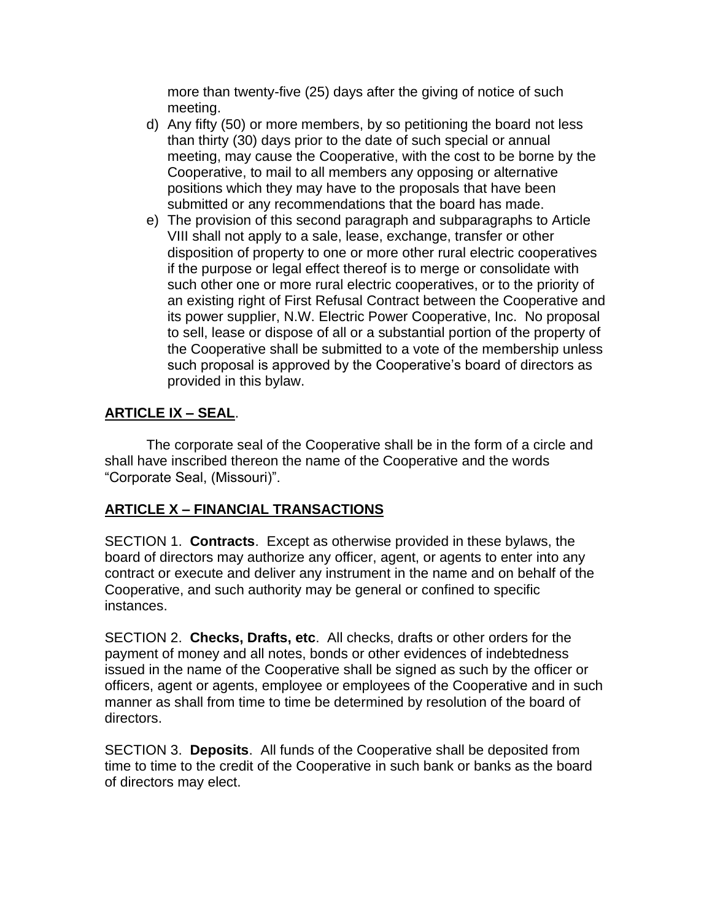more than twenty-five (25) days after the giving of notice of such meeting.

- d) Any fifty (50) or more members, by so petitioning the board not less than thirty (30) days prior to the date of such special or annual meeting, may cause the Cooperative, with the cost to be borne by the Cooperative, to mail to all members any opposing or alternative positions which they may have to the proposals that have been submitted or any recommendations that the board has made.
- e) The provision of this second paragraph and subparagraphs to Article VIII shall not apply to a sale, lease, exchange, transfer or other disposition of property to one or more other rural electric cooperatives if the purpose or legal effect thereof is to merge or consolidate with such other one or more rural electric cooperatives, or to the priority of an existing right of First Refusal Contract between the Cooperative and its power supplier, N.W. Electric Power Cooperative, Inc. No proposal to sell, lease or dispose of all or a substantial portion of the property of the Cooperative shall be submitted to a vote of the membership unless such proposal is approved by the Cooperative's board of directors as provided in this bylaw.

# **ARTICLE IX – SEAL**.

The corporate seal of the Cooperative shall be in the form of a circle and shall have inscribed thereon the name of the Cooperative and the words "Corporate Seal, (Missouri)".

# **ARTICLE X – FINANCIAL TRANSACTIONS**

SECTION 1. **Contracts**. Except as otherwise provided in these bylaws, the board of directors may authorize any officer, agent, or agents to enter into any contract or execute and deliver any instrument in the name and on behalf of the Cooperative, and such authority may be general or confined to specific instances.

SECTION 2. **Checks, Drafts, etc**. All checks, drafts or other orders for the payment of money and all notes, bonds or other evidences of indebtedness issued in the name of the Cooperative shall be signed as such by the officer or officers, agent or agents, employee or employees of the Cooperative and in such manner as shall from time to time be determined by resolution of the board of directors.

SECTION 3. **Deposits**. All funds of the Cooperative shall be deposited from time to time to the credit of the Cooperative in such bank or banks as the board of directors may elect.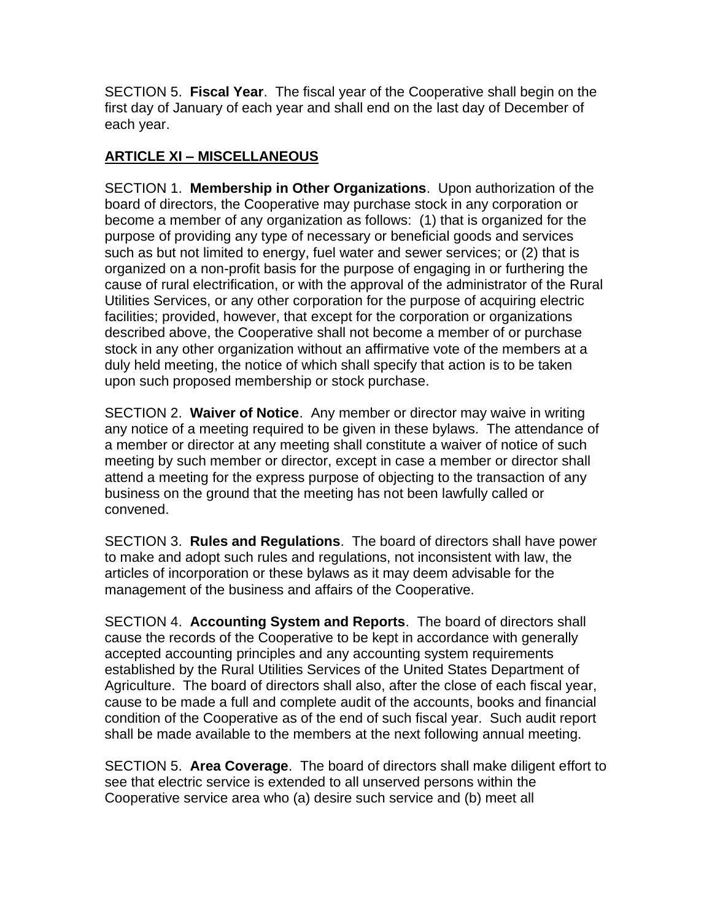SECTION 5. **Fiscal Year**. The fiscal year of the Cooperative shall begin on the first day of January of each year and shall end on the last day of December of each year.

# **ARTICLE XI – MISCELLANEOUS**

SECTION 1. **Membership in Other Organizations**. Upon authorization of the board of directors, the Cooperative may purchase stock in any corporation or become a member of any organization as follows: (1) that is organized for the purpose of providing any type of necessary or beneficial goods and services such as but not limited to energy, fuel water and sewer services; or (2) that is organized on a non-profit basis for the purpose of engaging in or furthering the cause of rural electrification, or with the approval of the administrator of the Rural Utilities Services, or any other corporation for the purpose of acquiring electric facilities; provided, however, that except for the corporation or organizations described above, the Cooperative shall not become a member of or purchase stock in any other organization without an affirmative vote of the members at a duly held meeting, the notice of which shall specify that action is to be taken upon such proposed membership or stock purchase.

SECTION 2. **Waiver of Notice**. Any member or director may waive in writing any notice of a meeting required to be given in these bylaws. The attendance of a member or director at any meeting shall constitute a waiver of notice of such meeting by such member or director, except in case a member or director shall attend a meeting for the express purpose of objecting to the transaction of any business on the ground that the meeting has not been lawfully called or convened.

SECTION 3. **Rules and Regulations**. The board of directors shall have power to make and adopt such rules and regulations, not inconsistent with law, the articles of incorporation or these bylaws as it may deem advisable for the management of the business and affairs of the Cooperative.

SECTION 4. **Accounting System and Reports**. The board of directors shall cause the records of the Cooperative to be kept in accordance with generally accepted accounting principles and any accounting system requirements established by the Rural Utilities Services of the United States Department of Agriculture. The board of directors shall also, after the close of each fiscal year, cause to be made a full and complete audit of the accounts, books and financial condition of the Cooperative as of the end of such fiscal year. Such audit report shall be made available to the members at the next following annual meeting.

SECTION 5. **Area Coverage**. The board of directors shall make diligent effort to see that electric service is extended to all unserved persons within the Cooperative service area who (a) desire such service and (b) meet all